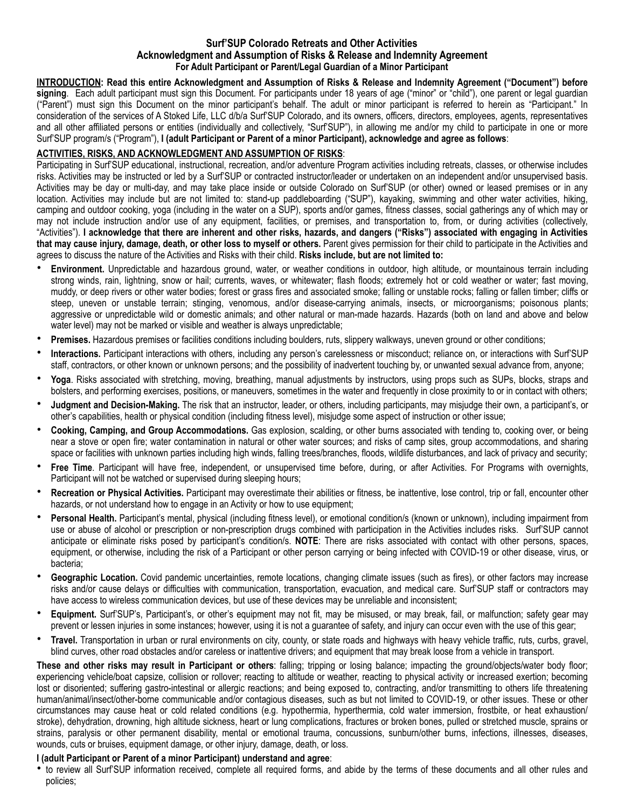## **Surf'SUP Colorado Retreats and Other Activities Acknowledgment and Assumption of Risks & Release and Indemnity Agreement For Adult Participant or Parent/Legal Guardian of a Minor Participant**

**INTRODUCTION: Read this entire Acknowledgment and Assumption of Risks & Release and Indemnity Agreement ("Document") before signing**. Each adult participant must sign this Document. For participants under 18 years of age ("minor" or "child"), one parent or legal guardian ("Parent") must sign this Document on the minor participant's behalf. The adult or minor participant is referred to herein as "Participant." In consideration of the services of A Stoked Life, LLC d/b/a Surf'SUP Colorado, and its owners, officers, directors, employees, agents, representatives and all other affiliated persons or entities (individually and collectively, "Surf'SUP"), in allowing me and/or my child to participate in one or more Surf'SUP program/s ("Program"), **I (adult Participant or Parent of a minor Participant), acknowledge and agree as follows**:

# **ACTIVITIES, RISKS, AND ACKNOWLEDGMENT AND ASSUMPTION OF RISKS**:

Participating in Surf'SUP educational, instructional, recreation, and/or adventure Program activities including retreats, classes, or otherwise includes risks. Activities may be instructed or led by a Surf'SUP or contracted instructor/leader or undertaken on an independent and/or unsupervised basis. Activities may be day or multi-day, and may take place inside or outside Colorado on Surf'SUP (or other) owned or leased premises or in any location. Activities may include but are not limited to: stand-up paddleboarding ("SUP"), kayaking, swimming and other water activities, hiking, camping and outdoor cooking, yoga (including in the water on a SUP), sports and/or games, fitness classes, social gatherings any of which may or may not include instruction and/or use of any equipment, facilities, or premises, and transportation to, from, or during activities (collectively, "Activities"). **I acknowledge that there are inherent and other risks, hazards, and dangers ("Risks") associated with engaging in Activities that may cause injury, damage, death, or other loss to myself or others.** Parent gives permission for their child to participate in the Activities and agrees to discuss the nature of the Activities and Risks with their child. **Risks include, but are not limited to:** 

- **Environment.** Unpredictable and hazardous ground, water, or weather conditions in outdoor, high altitude, or mountainous terrain including strong winds, rain, lightning, snow or hail; currents, waves, or whitewater; flash floods; extremely hot or cold weather or water; fast moving, muddy, or deep rivers or other water bodies; forest or grass fires and associated smoke; falling or unstable rocks; falling or fallen timber; cliffs or steep, uneven or unstable terrain; stinging, venomous, and/or disease-carrying animals, insects, or microorganisms; poisonous plants; aggressive or unpredictable wild or domestic animals; and other natural or man-made hazards. Hazards (both on land and above and below water level) may not be marked or visible and weather is always unpredictable;
- **Premises.** Hazardous premises or facilities conditions including boulders, ruts, slippery walkways, uneven ground or other conditions;
- **Interactions.** Participant interactions with others, including any person's carelessness or misconduct; reliance on, or interactions with Surf'SUP staff, contractors, or other known or unknown persons; and the possibility of inadvertent touching by, or unwanted sexual advance from, anyone;
- **Yoga**. Risks associated with stretching, moving, breathing, manual adjustments by instructors, using props such as SUPs, blocks, straps and bolsters, and performing exercises, positions, or maneuvers, sometimes in the water and frequently in close proximity to or in contact with others;
- **Judgment and Decision-Making.** The risk that an instructor, leader, or others, including participants, may misjudge their own, a participant's, or other's capabilities, health or physical condition (including fitness level), misjudge some aspect of instruction or other issue;
- **Cooking, Camping, and Group Accommodations.** Gas explosion, scalding, or other burns associated with tending to, cooking over, or being near a stove or open fire; water contamination in natural or other water sources; and risks of camp sites, group accommodations, and sharing space or facilities with unknown parties including high winds, falling trees/branches, floods, wildlife disturbances, and lack of privacy and security;
- **Free Time**. Participant will have free, independent, or unsupervised time before, during, or after Activities. For Programs with overnights, Participant will not be watched or supervised during sleeping hours;
- **Recreation or Physical Activities.** Participant may overestimate their abilities or fitness, be inattentive, lose control, trip or fall, encounter other hazards, or not understand how to engage in an Activity or how to use equipment;
- Personal Health. Participant's mental, physical (including fitness level), or emotional condition/s (known or unknown), including impairment from use or abuse of alcohol or prescription or non-prescription drugs combined with participation in the Activities includes risks. Surf'SUP cannot anticipate or eliminate risks posed by participant's condition/s. **NOTE**: There are risks associated with contact with other persons, spaces, equipment, or otherwise, including the risk of a Participant or other person carrying or being infected with COVID-19 or other disease, virus, or bacteria;
- **Geographic Location.** Covid pandemic uncertainties, remote locations, changing climate issues (such as fires), or other factors may increase risks and/or cause delays or difficulties with communication, transportation, evacuation, and medical care. Surf'SUP staff or contractors may have access to wireless communication devices, but use of these devices may be unreliable and inconsistent;
- **Equipment.** Surf'SUP's, Participant's, or other's equipment may not fit, may be misused, or may break, fail, or malfunction; safety gear may prevent or lessen injuries in some instances; however, using it is not a guarantee of safety, and injury can occur even with the use of this gear;
- **Travel.** Transportation in urban or rural environments on city, county, or state roads and highways with heavy vehicle traffic, ruts, curbs, gravel, blind curves, other road obstacles and/or careless or inattentive drivers; and equipment that may break loose from a vehicle in transport.

**These and other risks may result in Participant or others**: falling; tripping or losing balance; impacting the ground/objects/water body floor; experiencing vehicle/boat capsize, collision or rollover; reacting to altitude or weather, reacting to physical activity or increased exertion; becoming lost or disoriented; suffering gastro-intestinal or allergic reactions; and being exposed to, contracting, and/or transmitting to others life threatening human/animal/insect/other-borne communicable and/or contagious diseases, such as but not limited to COVID-19, or other issues. These or other circumstances may cause heat or cold related conditions (e.g. hypothermia, hyperthermia, cold water immersion, frostbite, or heat exhaustion/ stroke), dehydration, drowning, high altitude sickness, heart or lung complications, fractures or broken bones, pulled or stretched muscle, sprains or strains, paralysis or other permanent disability, mental or emotional trauma, concussions, sunburn/other burns, infections, illnesses, diseases, wounds, cuts or bruises, equipment damage, or other injury, damage, death, or loss.

#### **I (adult Participant or Parent of a minor Participant) understand and agree**:

• to review all Surf'SUP information received, complete all required forms, and abide by the terms of these documents and all other rules and policies;